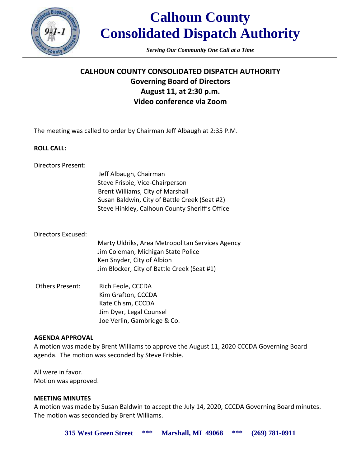

# **Calhoun County Consolidated Dispatch Authority**

*Serving Our Community One Call at a Time*

## **CALHOUN COUNTY CONSOLIDATED DISPATCH AUTHORITY Governing Board of Directors August 11, at 2:30 p.m. Video conference via Zoom**

The meeting was called to order by Chairman Jeff Albaugh at 2:35 P.M.

### **ROLL CALL:**

| Directors Present: |  |
|--------------------|--|
|--------------------|--|

| Jeff Albaugh, Chairman                         |
|------------------------------------------------|
| Steve Frisbie, Vice-Chairperson                |
| Brent Williams, City of Marshall               |
| Susan Baldwin, City of Battle Creek (Seat #2)  |
| Steve Hinkley, Calhoun County Sheriff's Office |

#### Directors Excused:

Marty Uldriks, Area Metropolitan Services Agency Jim Coleman, Michigan State Police Ken Snyder, City of Albion Jim Blocker, City of Battle Creek (Seat #1)

Others Present: Rich Feole, CCCDA Kim Grafton, CCCDA Kate Chism, CCCDA Jim Dyer, Legal Counsel Joe Verlin, Gambridge & Co.

### **AGENDA APPROVAL**

A motion was made by Brent Williams to approve the August 11, 2020 CCCDA Governing Board agenda. The motion was seconded by Steve Frisbie.

All were in favor. Motion was approved.

### **MEETING MINUTES**

A motion was made by Susan Baldwin to accept the July 14, 2020, CCCDA Governing Board minutes. The motion was seconded by Brent Williams.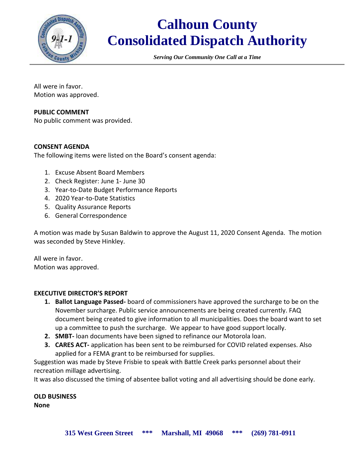

# **Calhoun County Consolidated Dispatch Authority**

*Serving Our Community One Call at a Time*

All were in favor. Motion was approved.

### **PUBLIC COMMENT**

No public comment was provided.

### **CONSENT AGENDA**

The following items were listed on the Board's consent agenda:

- 1. Excuse Absent Board Members
- 2. Check Register: June 1- June 30
- 3. Year-to-Date Budget Performance Reports
- 4. 2020 Year-to-Date Statistics
- 5. Quality Assurance Reports
- 6. General Correspondence

A motion was made by Susan Baldwin to approve the August 11, 2020 Consent Agenda. The motion was seconded by Steve Hinkley.

All were in favor. Motion was approved.

#### **EXECUTIVE DIRECTOR'S REPORT**

- **1. Ballot Language Passed-** board of commissioners have approved the surcharge to be on the November surcharge. Public service announcements are being created currently. FAQ document being created to give information to all municipalities. Does the board want to set up a committee to push the surcharge. We appear to have good support locally.
- **2. SMBT-** loan documents have been signed to refinance our Motorola loan.
- **3. CARES ACT-** application has been sent to be reimbursed for COVID related expenses. Also applied for a FEMA grant to be reimbursed for supplies.

Suggestion was made by Steve Frisbie to speak with Battle Creek parks personnel about their recreation millage advertising.

It was also discussed the timing of absentee ballot voting and all advertising should be done early.

**OLD BUSINESS None**